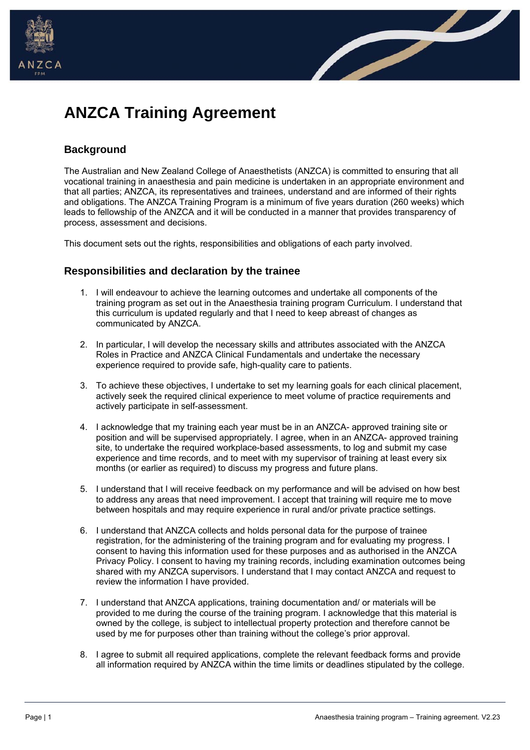



# **ANZCA Training Agreement**

## **Background**

The Australian and New Zealand College of Anaesthetists (ANZCA) is committed to ensuring that all vocational training in anaesthesia and pain medicine is undertaken in an appropriate environment and that all parties; ANZCA, its representatives and trainees, understand and are informed of their rights and obligations. The ANZCA Training Program is a minimum of five years duration (260 weeks) which leads to fellowship of the ANZCA and it will be conducted in a manner that provides transparency of process, assessment and decisions.

This document sets out the rights, responsibilities and obligations of each party involved.

## **Responsibilities and declaration by the trainee**

- 1. I will endeavour to achieve the learning outcomes and undertake all components of the training program as set out in the Anaesthesia training program Curriculum. I understand that this curriculum is updated regularly and that I need to keep abreast of changes as communicated by ANZCA.
- 2. In particular, I will develop the necessary skills and attributes associated with the ANZCA Roles in Practice and ANZCA Clinical Fundamentals and undertake the necessary experience required to provide safe, high-quality care to patients.
- 3. To achieve these objectives, I undertake to set my learning goals for each clinical placement, actively seek the required clinical experience to meet volume of practice requirements and actively participate in self-assessment.
- 4. I acknowledge that my training each year must be in an ANZCA- approved training site or position and will be supervised appropriately. I agree, when in an ANZCA- approved training site, to undertake the required workplace-based assessments, to log and submit my case experience and time records, and to meet with my supervisor of training at least every six months (or earlier as required) to discuss my progress and future plans.
- 5. I understand that I will receive feedback on my performance and will be advised on how best to address any areas that need improvement. I accept that training will require me to move between hospitals and may require experience in rural and/or private practice settings.
- 6. I understand that ANZCA collects and holds personal data for the purpose of trainee registration, for the administering of the training program and for evaluating my progress. I consent to having this information used for these purposes and as authorised in the ANZCA Privacy Policy. I consent to having my training records, including examination outcomes being shared with my ANZCA supervisors. I understand that I may contact ANZCA and request to review the information I have provided.
- 7. I understand that ANZCA applications, training documentation and/ or materials will be provided to me during the course of the training program. I acknowledge that this material is owned by the college, is subject to intellectual property protection and therefore cannot be used by me for purposes other than training without the college's prior approval.
- 8. I agree to submit all required applications, complete the relevant feedback forms and provide all information required by ANZCA within the time limits or deadlines stipulated by the college.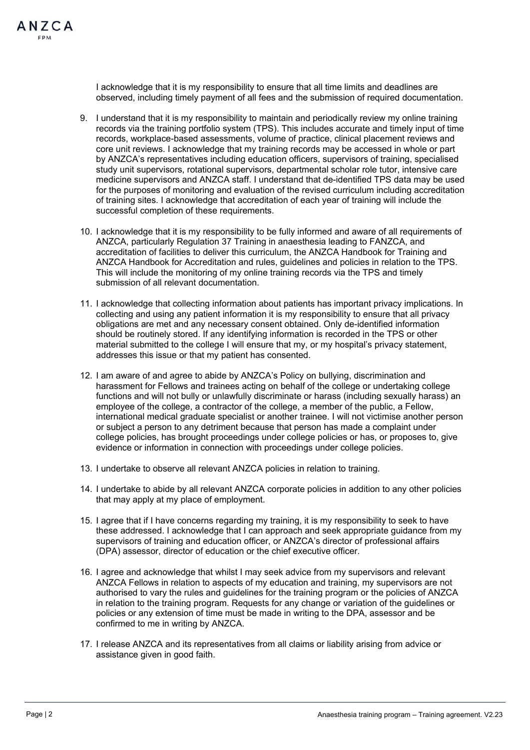I acknowledge that it is my responsibility to ensure that all time limits and deadlines are observed, including timely payment of all fees and the submission of required documentation.

- 9. I understand that it is my responsibility to maintain and periodically review my online training records via the training portfolio system (TPS). This includes accurate and timely input of time records, workplace-based assessments, volume of practice, clinical placement reviews and core unit reviews. I acknowledge that my training records may be accessed in whole or part by ANZCA's representatives including education officers, supervisors of training, specialised study unit supervisors, rotational supervisors, departmental scholar role tutor, intensive care medicine supervisors and ANZCA staff. I understand that de-identified TPS data may be used for the purposes of monitoring and evaluation of the revised curriculum including accreditation of training sites. I acknowledge that accreditation of each year of training will include the successful completion of these requirements.
- 10. I acknowledge that it is my responsibility to be fully informed and aware of all requirements of ANZCA, particularly Regulation 37 Training in anaesthesia leading to FANZCA, and accreditation of facilities to deliver this curriculum, the ANZCA Handbook for Training and ANZCA Handbook for Accreditation and rules, guidelines and policies in relation to the TPS. This will include the monitoring of my online training records via the TPS and timely submission of all relevant documentation.
- 11. I acknowledge that collecting information about patients has important privacy implications. In collecting and using any patient information it is my responsibility to ensure that all privacy obligations are met and any necessary consent obtained. Only de-identified information should be routinely stored. If any identifying information is recorded in the TPS or other material submitted to the college I will ensure that my, or my hospital's privacy statement, addresses this issue or that my patient has consented.
- 12. I am aware of and agree to abide by ANZCA's Policy on bullying, discrimination and harassment for Fellows and trainees acting on behalf of the college or undertaking college functions and will not bully or unlawfully discriminate or harass (including sexually harass) an employee of the college, a contractor of the college, a member of the public, a Fellow, international medical graduate specialist or another trainee. I will not victimise another person or subject a person to any detriment because that person has made a complaint under college policies, has brought proceedings under college policies or has, or proposes to, give evidence or information in connection with proceedings under college policies.
- 13. I undertake to observe all relevant ANZCA policies in relation to training.
- 14. I undertake to abide by all relevant ANZCA corporate policies in addition to any other policies that may apply at my place of employment.
- 15. I agree that if I have concerns regarding my training, it is my responsibility to seek to have these addressed. I acknowledge that I can approach and seek appropriate guidance from my supervisors of training and education officer, or ANZCA's director of professional affairs (DPA) assessor, director of education or the chief executive officer.
- 16. I agree and acknowledge that whilst I may seek advice from my supervisors and relevant ANZCA Fellows in relation to aspects of my education and training, my supervisors are not authorised to vary the rules and guidelines for the training program or the policies of ANZCA in relation to the training program. Requests for any change or variation of the guidelines or policies or any extension of time must be made in writing to the DPA, assessor and be confirmed to me in writing by ANZCA.
- 17. I release ANZCA and its representatives from all claims or liability arising from advice or assistance given in good faith.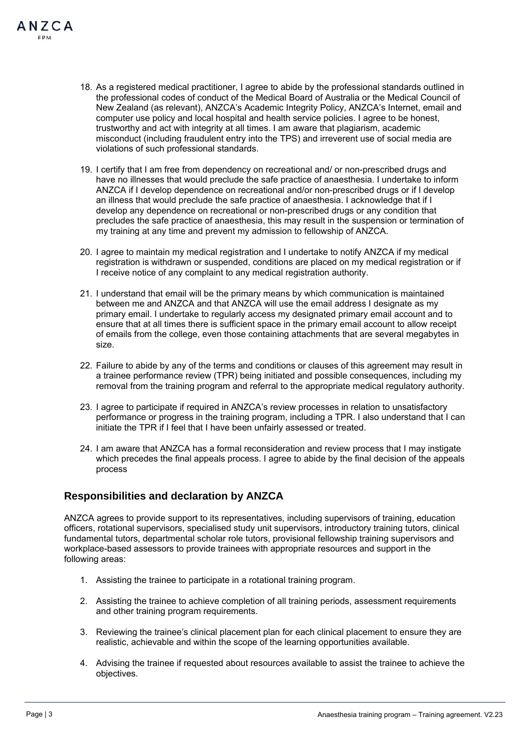- 18. As a registered medical practitioner, I agree to abide by the professional standards outlined in the professional codes of conduct of the Medical Board of Australia or the Medical Council of New Zealand (as relevant), ANZCA's Academic Integrity Policy, ANZCA's Internet, email and computer use policy and local hospital and health service policies. I agree to be honest, trustworthy and act with integrity at all times. I am aware that plagiarism, academic misconduct (including fraudulent entry into the TPS) and irreverent use of social media are violations of such professional standards.
- 19. I certify that I am free from dependency on recreational and/ or non-prescribed drugs and have no illnesses that would preclude the safe practice of anaesthesia. I undertake to inform ANZCA if I develop dependence on recreational and/or non-prescribed drugs or if I develop an illness that would preclude the safe practice of anaesthesia. I acknowledge that if I develop any dependence on recreational or non-prescribed drugs or any condition that precludes the safe practice of anaesthesia, this may result in the suspension or termination of my training at any time and prevent my admission to fellowship of ANZCA.
- 20. I agree to maintain my medical registration and I undertake to notify ANZCA if my medical registration is withdrawn or suspended, conditions are placed on my medical registration or if I receive notice of any complaint to any medical registration authority.
- 21. I understand that email will be the primary means by which communication is maintained between me and ANZCA and that ANZCA will use the email address I designate as my primary email. I undertake to regularly access my designated primary email account and to ensure that at all times there is sufficient space in the primary email account to allow receipt of emails from the college, even those containing attachments that are several megabytes in size.
- 22. Failure to abide by any of the terms and conditions or clauses of this agreement may result in a trainee performance review (TPR) being initiated and possible consequences, including my removal from the training program and referral to the appropriate medical regulatory authority.
- 23. I agree to participate if required in ANZCA's review processes in relation to unsatisfactory performance or progress in the training program, including a TPR. I also understand that I can initiate the TPR if I feel that I have been unfairly assessed or treated.
- 24. I am aware that ANZCA has a formal reconsideration and review process that I may instigate which precedes the final appeals process. I agree to abide by the final decision of the appeals process

## **Responsibilities and declaration by ANZCA**

ANZCA agrees to provide support to its representatives, including supervisors of training, education officers, rotational supervisors, specialised study unit supervisors, introductory training tutors, clinical fundamental tutors, departmental scholar role tutors, provisional fellowship training supervisors and workplace-based assessors to provide trainees with appropriate resources and support in the following areas:

- 1. Assisting the trainee to participate in a rotational training program.
- 2. Assisting the trainee to achieve completion of all training periods, assessment requirements and other training program requirements.
- 3. Reviewing the trainee's clinical placement plan for each clinical placement to ensure they are realistic, achievable and within the scope of the learning opportunities available.
- 4. Advising the trainee if requested about resources available to assist the trainee to achieve the objectives.